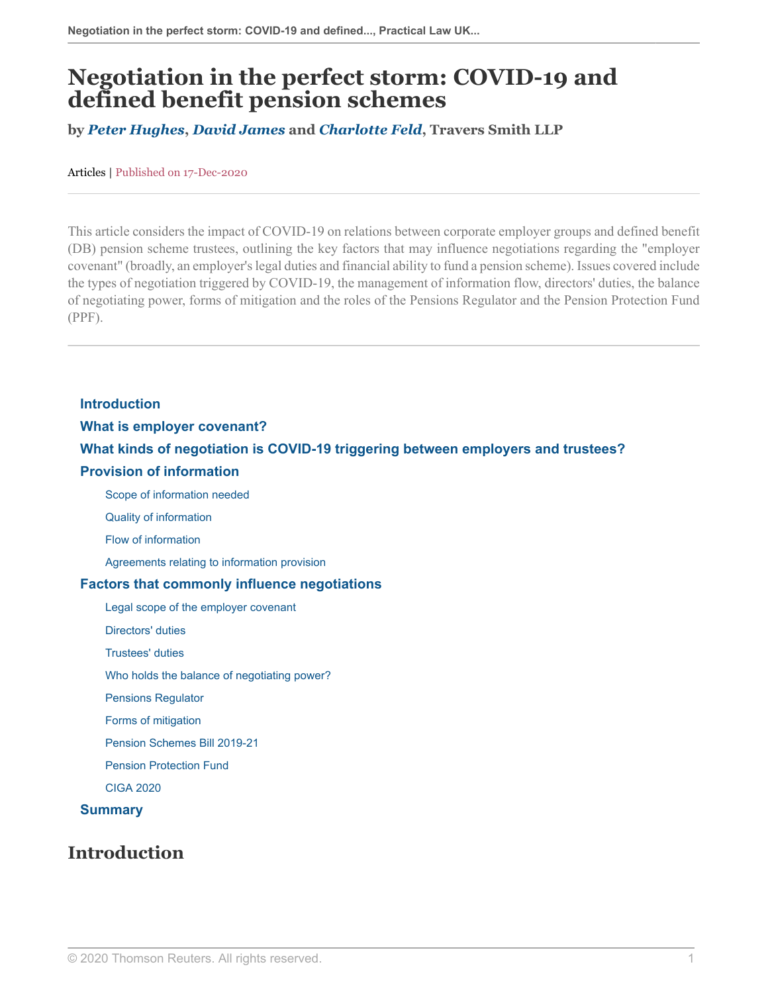# **Negotiation in the perfect storm: COVID-19 and defined benefit pension schemes**

**by** *[Peter Hughes](https://www.traverssmith.com/people/peter-hughes/ )***,** *[David James](https://www.traverssmith.com/people/david-james/ )* **and** *[Charlotte Feld](https://www.traverssmith.com/people/charlotte-feld/ )***, Travers Smith LLP**

Articles | Published on 17-Dec-2020

This article considers the impact of COVID-19 on relations between corporate employer groups and defined benefit (DB) pension scheme trustees, outlining the key factors that may influence negotiations regarding the "employer covenant" (broadly, an employer's legal duties and financial ability to fund a pension scheme). Issues covered include the types of negotiation triggered by COVID-19, the management of information flow, directors' duties, the balance of negotiating power, forms of mitigation and the roles of the Pensions Regulator and the Pension Protection Fund (PPF).

**[Introduction](#page-0-0) [What is employer covenant?](#page-1-0) [What kinds of negotiation is COVID-19 triggering between employers and trustees?](#page-1-1) [Provision of information](#page-2-0)**

[Scope of information needed](#page-2-1)

[Quality of information](#page-3-0)

[Flow of information](#page-3-1)

[Agreements relating to information provision](#page-3-2)

#### **[Factors that commonly influence negotiations](#page-3-3)**

[Legal scope of the employer covenant](#page-3-4)

[Directors' duties](#page-4-0)

[Trustees' duties](#page-4-1)

[Who holds the balance of negotiating power?](#page-4-2)

[Pensions Regulator](#page-5-0)

[Forms of mitigation](#page-6-0)

[Pension Schemes Bill 2019-21](#page-7-0)

[Pension Protection Fund](#page-7-1)

[CIGA 2020](#page-7-2)

#### <span id="page-0-0"></span>**[Summary](#page-8-0)**

## **Introduction**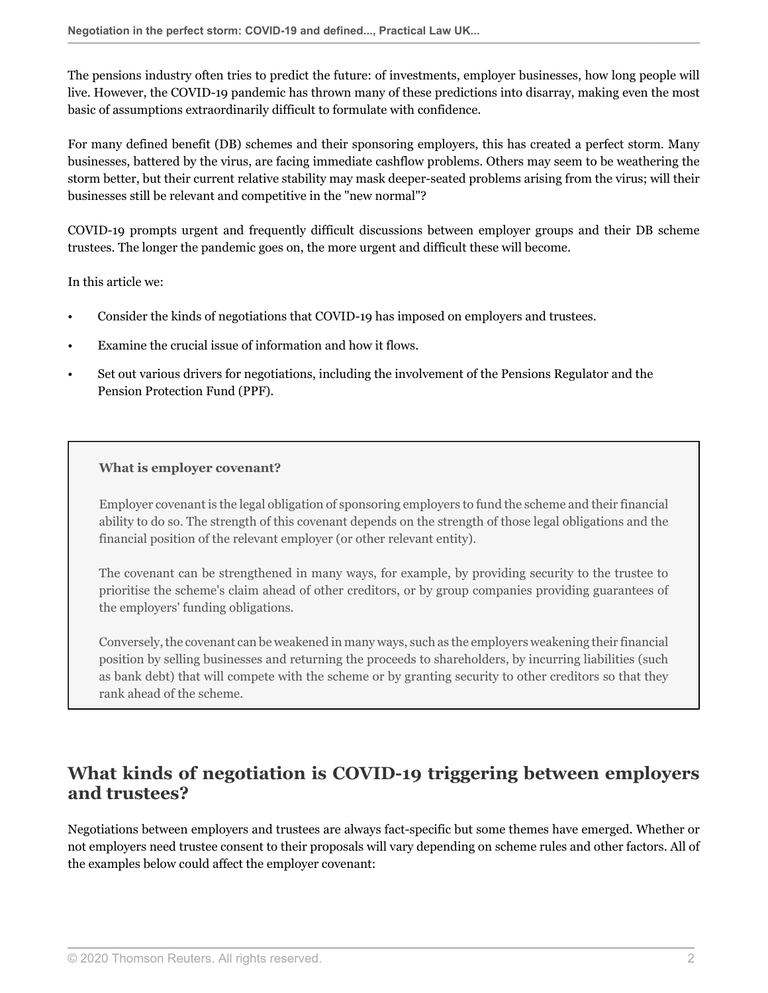The pensions industry often tries to predict the future: of investments, employer businesses, how long people will live. However, the COVID-19 pandemic has thrown many of these predictions into disarray, making even the most basic of assumptions extraordinarily difficult to formulate with confidence.

For many defined benefit (DB) schemes and their sponsoring employers, this has created a perfect storm. Many businesses, battered by the virus, are facing immediate cashflow problems. Others may seem to be weathering the storm better, but their current relative stability may mask deeper-seated problems arising from the virus; will their businesses still be relevant and competitive in the "new normal"?

COVID-19 prompts urgent and frequently difficult discussions between employer groups and their DB scheme trustees. The longer the pandemic goes on, the more urgent and difficult these will become.

In this article we:

- Consider the kinds of negotiations that COVID-19 has imposed on employers and trustees.
- Examine the crucial issue of information and how it flows.
- <span id="page-1-0"></span>• Set out various drivers for negotiations, including the involvement of the Pensions Regulator and the Pension Protection Fund (PPF).

#### **What is employer covenant?**

Employer covenant is the legal obligation of sponsoring employers to fund the scheme and their financial ability to do so. The strength of this covenant depends on the strength of those legal obligations and the financial position of the relevant employer (or other relevant entity).

The covenant can be strengthened in many ways, for example, by providing security to the trustee to prioritise the scheme's claim ahead of other creditors, or by group companies providing guarantees of the employers' funding obligations.

Conversely, the covenant can be weakened in many ways, such as the employers weakening their financial position by selling businesses and returning the proceeds to shareholders, by incurring liabilities (such as bank debt) that will compete with the scheme or by granting security to other creditors so that they rank ahead of the scheme.

# <span id="page-1-1"></span>**What kinds of negotiation is COVID-19 triggering between employers and trustees?**

Negotiations between employers and trustees are always fact-specific but some themes have emerged. Whether or not employers need trustee consent to their proposals will vary depending on scheme rules and other factors. All of the examples below could affect the employer covenant: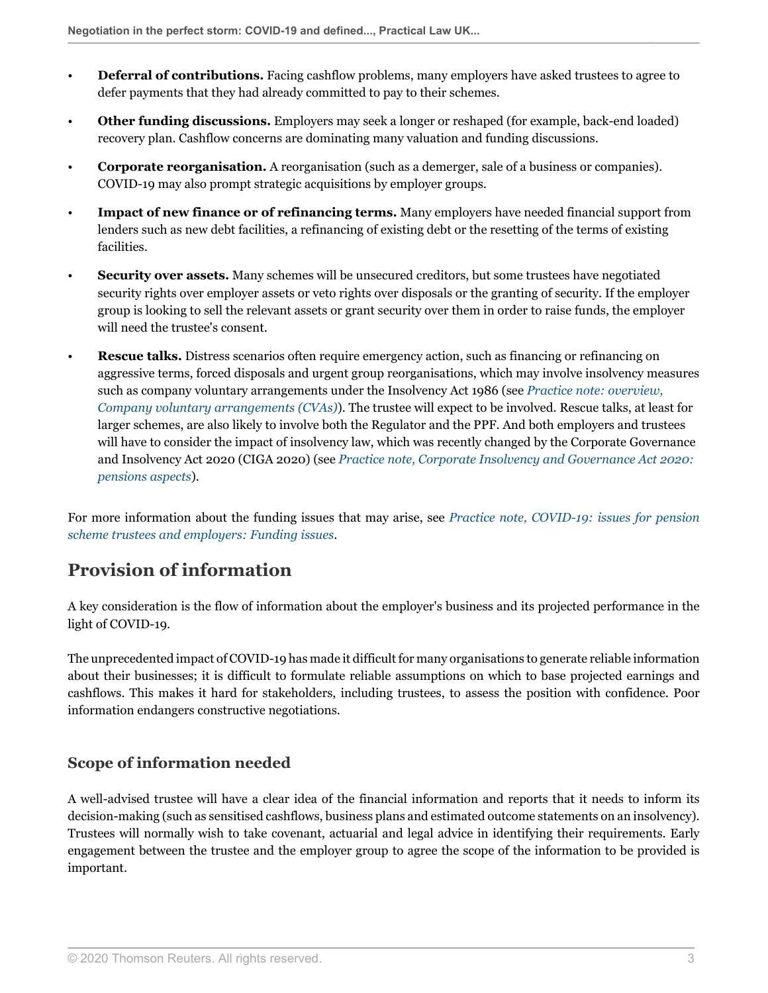- **Deferral of contributions.** Facing cashflow problems, many employers have asked trustees to agree to defer payments that they had already committed to pay to their schemes.
- **Other funding discussions.** Employers may seek a longer or reshaped (for example, back-end loaded) recovery plan. Cashflow concerns are dominating many valuation and funding discussions.
- **Corporate reorganisation.** A reorganisation (such as a demerger, sale of a business or companies). COVID-19 may also prompt strategic acquisitions by employer groups.
- **Impact of new finance or of refinancing terms.** Many employers have needed financial support from lenders such as new debt facilities, a refinancing of existing debt or the resetting of the terms of existing facilities.
- **Security over assets.** Many schemes will be unsecured creditors, but some trustees have negotiated security rights over employer assets or veto rights over disposals or the granting of security. If the employer group is looking to sell the relevant assets or grant security over them in order to raise funds, the employer will need the trustee's consent.
- **Rescue talks.** Distress scenarios often require emergency action, such as financing or refinancing on aggressive terms, forced disposals and urgent group reorganisations, which may involve insolvency measures such as company voluntary arrangements under the Insolvency Act 1986 (see *[Practice note: overview,](http://uk.practicallaw.thomsonreuters.com/6-107-3974?originationContext=document&vr=3.0&rs=PLUK1.0&transitionType=DocumentItem&contextData=(sc.Default)) [Company voluntary arrangements \(CVAs\)](http://uk.practicallaw.thomsonreuters.com/6-107-3974?originationContext=document&vr=3.0&rs=PLUK1.0&transitionType=DocumentItem&contextData=(sc.Default))*). The trustee will expect to be involved. Rescue talks, at least for larger schemes, are also likely to involve both the Regulator and the PPF. And both employers and trustees will have to consider the impact of insolvency law, which was recently changed by the Corporate Governance and Insolvency Act 2020 (CIGA 2020) (see *[Practice note, Corporate Insolvency and Governance Act 2020:](http://uk.practicallaw.thomsonreuters.com/w-026-3567?originationContext=document&vr=3.0&rs=PLUK1.0&transitionType=DocumentItem&contextData=(sc.Default)) [pensions aspects](http://uk.practicallaw.thomsonreuters.com/w-026-3567?originationContext=document&vr=3.0&rs=PLUK1.0&transitionType=DocumentItem&contextData=(sc.Default))*).

For more information about the funding issues that may arise, see *[Practice note, COVID-19: issues for pension](http://uk.practicallaw.thomsonreuters.com/w-024-4799?originationContext=document&vr=3.0&rs=PLUK1.0&transitionType=DocumentItem&contextData=(sc.Default)#co_anchor_a883217) [scheme trustees and employers: Funding issues](http://uk.practicallaw.thomsonreuters.com/w-024-4799?originationContext=document&vr=3.0&rs=PLUK1.0&transitionType=DocumentItem&contextData=(sc.Default)#co_anchor_a883217)*.

# <span id="page-2-0"></span>**Provision of information**

A key consideration is the flow of information about the employer's business and its projected performance in the light of COVID-19.

The unprecedented impact of COVID-19 has made it difficult for many organisations to generate reliable information about their businesses; it is difficult to formulate reliable assumptions on which to base projected earnings and cashflows. This makes it hard for stakeholders, including trustees, to assess the position with confidence. Poor information endangers constructive negotiations.

# <span id="page-2-1"></span>**Scope of information needed**

A well-advised trustee will have a clear idea of the financial information and reports that it needs to inform its decision-making (such as sensitised cashflows, business plans and estimated outcome statements on an insolvency). Trustees will normally wish to take covenant, actuarial and legal advice in identifying their requirements. Early engagement between the trustee and the employer group to agree the scope of the information to be provided is important.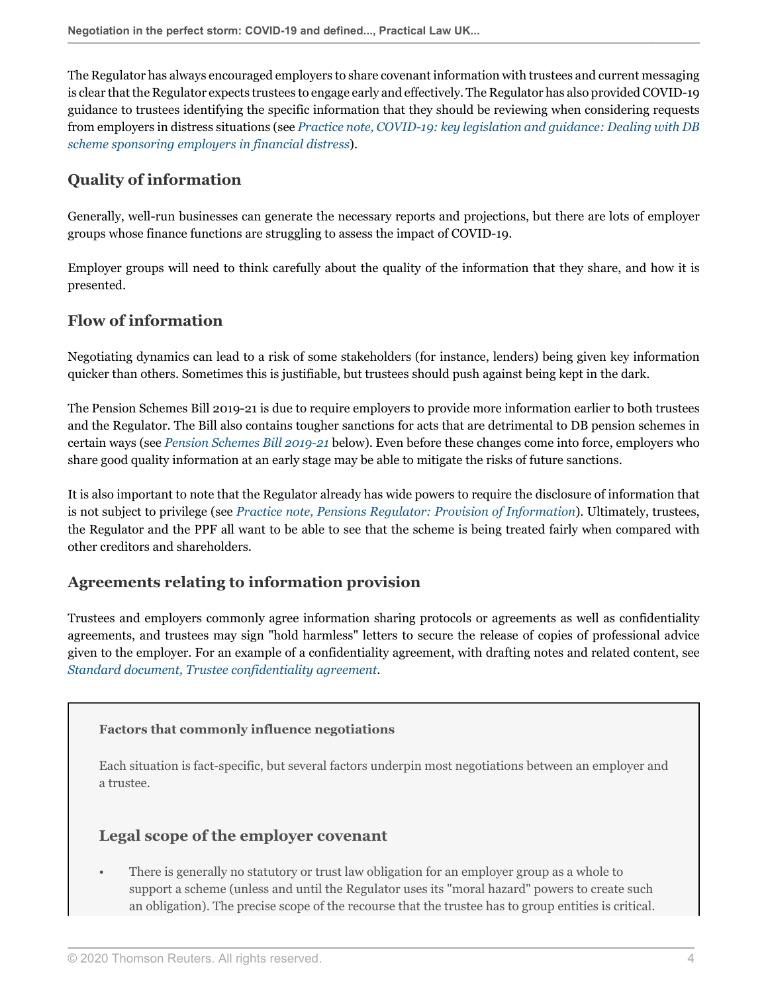The Regulator has always encouraged employers to share covenant information with trustees and current messaging is clear that the Regulator expects trustees to engage early and effectively. The Regulator has also provided COVID-19 guidance to trustees identifying the specific information that they should be reviewing when considering requests from employers in distress situations (see *[Practice note, COVID-19: key legislation and guidance: Dealing with DB](http://uk.practicallaw.thomsonreuters.com/w-027-4028?originationContext=document&vr=3.0&rs=PLUK1.0&transitionType=DocumentItem&contextData=(sc.Default)#co_anchor_a695037) [scheme sponsoring employers in financial distress](http://uk.practicallaw.thomsonreuters.com/w-027-4028?originationContext=document&vr=3.0&rs=PLUK1.0&transitionType=DocumentItem&contextData=(sc.Default)#co_anchor_a695037)*).

# <span id="page-3-0"></span>**Quality of information**

Generally, well-run businesses can generate the necessary reports and projections, but there are lots of employer groups whose finance functions are struggling to assess the impact of COVID-19.

Employer groups will need to think carefully about the quality of the information that they share, and how it is presented.

## <span id="page-3-1"></span>**Flow of information**

Negotiating dynamics can lead to a risk of some stakeholders (for instance, lenders) being given key information quicker than others. Sometimes this is justifiable, but trustees should push against being kept in the dark.

The Pension Schemes Bill 2019-21 is due to require employers to provide more information earlier to both trustees and the Regulator. The Bill also contains tougher sanctions for acts that are detrimental to DB pension schemes in certain ways (see *[Pension Schemes Bill 2019-21](#page-7-0)* below). Even before these changes come into force, employers who share good quality information at an early stage may be able to mitigate the risks of future sanctions.

It is also important to note that the Regulator already has wide powers to require the disclosure of information that is not subject to privilege (see *[Practice note, Pensions Regulator: Provision of Information](http://uk.practicallaw.thomsonreuters.com/w-007-8224?originationContext=document&vr=3.0&rs=PLUK1.0&transitionType=DocumentItem&contextData=(sc.Default))*). Ultimately, trustees, the Regulator and the PPF all want to be able to see that the scheme is being treated fairly when compared with other creditors and shareholders.

## <span id="page-3-2"></span>**Agreements relating to information provision**

Trustees and employers commonly agree information sharing protocols or agreements as well as confidentiality agreements, and trustees may sign "hold harmless" letters to secure the release of copies of professional advice given to the employer. For an example of a confidentiality agreement, with drafting notes and related content, see *[Standard document, Trustee confidentiality agreement](http://uk.practicallaw.thomsonreuters.com/0-383-4927?originationContext=document&vr=3.0&rs=PLUK1.0&transitionType=DocumentItem&contextData=(sc.Default))*.

#### <span id="page-3-3"></span>**Factors that commonly influence negotiations**

Each situation is fact-specific, but several factors underpin most negotiations between an employer and a trustee.

#### <span id="page-3-4"></span>**Legal scope of the employer covenant**

• There is generally no statutory or trust law obligation for an employer group as a whole to support a scheme (unless and until the Regulator uses its "moral hazard" powers to create such an obligation). The precise scope of the recourse that the trustee has to group entities is critical.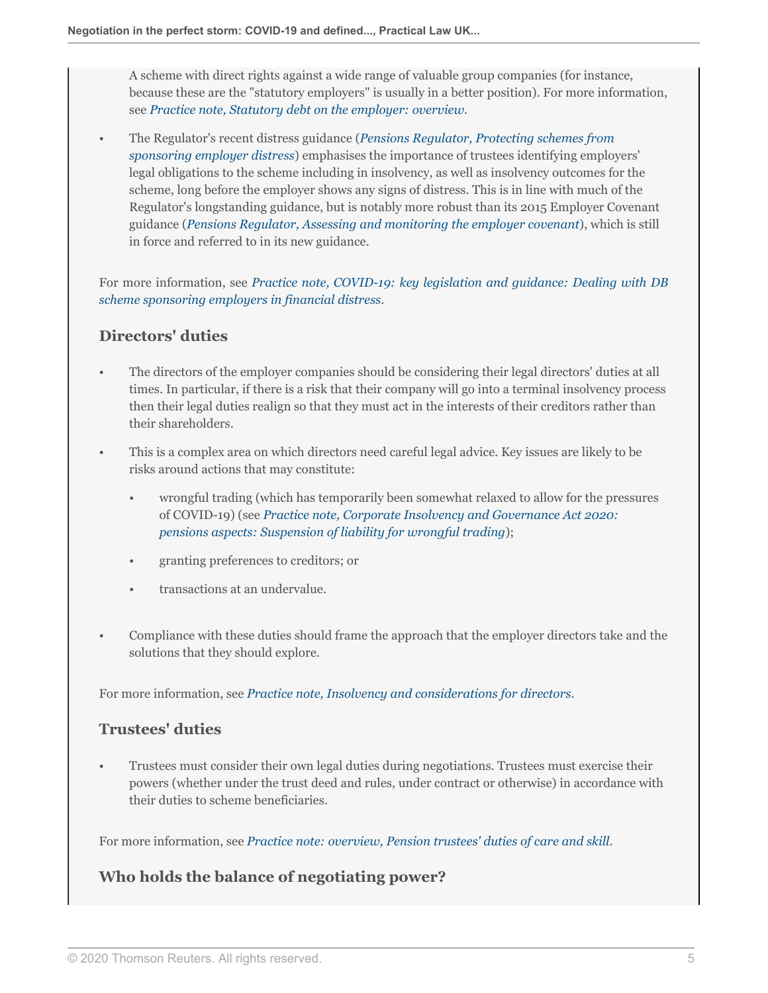A scheme with direct rights against a wide range of valuable group companies (for instance, because these are the "statutory employers" is usually in a better position). For more information, see *[Practice note, Statutory debt on the employer: overview](http://uk.practicallaw.thomsonreuters.com/3-203-4898?originationContext=document&vr=3.0&rs=PLUK1.0&transitionType=DocumentItem&contextData=(sc.Default))*.

• The Regulator's recent distress guidance (*[Pensions Regulator, Protecting schemes from](https://www.thepensionsregulator.gov.uk/en/document-library/regulatory-guidance/protecting-schemes-from-sponsoring-employer-distress ) [sponsoring employer distress](https://www.thepensionsregulator.gov.uk/en/document-library/regulatory-guidance/protecting-schemes-from-sponsoring-employer-distress )*) emphasises the importance of trustees identifying employers' legal obligations to the scheme including in insolvency, as well as insolvency outcomes for the scheme, long before the employer shows any signs of distress. This is in line with much of the Regulator's longstanding guidance, but is notably more robust than its 2015 Employer Covenant guidance (*[Pensions Regulator, Assessing and monitoring the employer covenant](https://www.thepensionsregulator.gov.uk/en/document-library/regulatory-guidance/assessing-and-monitoring-the-employer-covenant )*), which is still in force and referred to in its new guidance.

For more information, see *[Practice note, COVID-19: key legislation and guidance: Dealing with DB](http://uk.practicallaw.thomsonreuters.com/w-027-4028?originationContext=document&vr=3.0&rs=PLUK1.0&transitionType=DocumentItem&contextData=(sc.Default)#co_anchor_a695037) [scheme sponsoring employers in financial distress](http://uk.practicallaw.thomsonreuters.com/w-027-4028?originationContext=document&vr=3.0&rs=PLUK1.0&transitionType=DocumentItem&contextData=(sc.Default)#co_anchor_a695037)*.

## <span id="page-4-0"></span>**Directors' duties**

- The directors of the employer companies should be considering their legal directors' duties at all times. In particular, if there is a risk that their company will go into a terminal insolvency process then their legal duties realign so that they must act in the interests of their creditors rather than their shareholders.
- This is a complex area on which directors need careful legal advice. Key issues are likely to be risks around actions that may constitute:
	- wrongful trading (which has temporarily been somewhat relaxed to allow for the pressures of COVID-19) (see *[Practice note, Corporate Insolvency and Governance Act 2020:](http://uk.practicallaw.thomsonreuters.com/w-026-3567?originationContext=document&vr=3.0&rs=PLUK1.0&transitionType=DocumentItem&contextData=(sc.Default)#co_anchor_a701343) [pensions aspects: Suspension of liability for wrongful trading](http://uk.practicallaw.thomsonreuters.com/w-026-3567?originationContext=document&vr=3.0&rs=PLUK1.0&transitionType=DocumentItem&contextData=(sc.Default)#co_anchor_a701343)*);
	- granting preferences to creditors; or
	- transactions at an undervalue.
- Compliance with these duties should frame the approach that the employer directors take and the solutions that they should explore.

<span id="page-4-1"></span>For more information, see *[Practice note, Insolvency and considerations for directors](http://uk.practicallaw.thomsonreuters.com/5-107-3984?originationContext=document&vr=3.0&rs=PLUK1.0&transitionType=DocumentItem&contextData=(sc.Default))*.

#### **Trustees' duties**

• Trustees must consider their own legal duties during negotiations. Trustees must exercise their powers (whether under the trust deed and rules, under contract or otherwise) in accordance with their duties to scheme beneficiaries.

<span id="page-4-2"></span>For more information, see *[Practice note: overview, Pension trustees' duties of care and skill](http://uk.practicallaw.thomsonreuters.com/4-422-5206?originationContext=document&vr=3.0&rs=PLUK1.0&transitionType=DocumentItem&contextData=(sc.Default))*.

## **Who holds the balance of negotiating power?**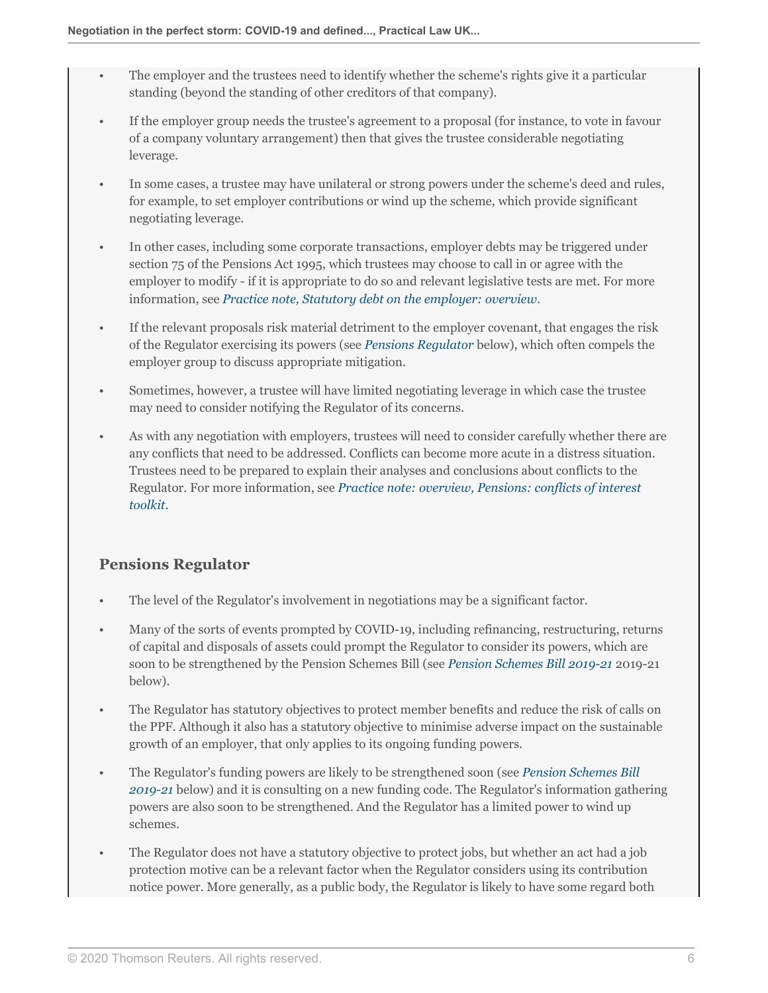- The employer and the trustees need to identify whether the scheme's rights give it a particular standing (beyond the standing of other creditors of that company).
- If the employer group needs the trustee's agreement to a proposal (for instance, to vote in favour of a company voluntary arrangement) then that gives the trustee considerable negotiating leverage.
- In some cases, a trustee may have unilateral or strong powers under the scheme's deed and rules, for example, to set employer contributions or wind up the scheme, which provide significant negotiating leverage.
- In other cases, including some corporate transactions, employer debts may be triggered under section 75 of the Pensions Act 1995, which trustees may choose to call in or agree with the employer to modify - if it is appropriate to do so and relevant legislative tests are met. For more information, see *[Practice note, Statutory debt on the employer: overview](http://uk.practicallaw.thomsonreuters.com/3-203-4898?originationContext=document&vr=3.0&rs=PLUK1.0&transitionType=DocumentItem&contextData=(sc.Default))*.
- If the relevant proposals risk material detriment to the employer covenant, that engages the risk of the Regulator exercising its powers (see *[Pensions Regulator](#page-5-0)* below), which often compels the employer group to discuss appropriate mitigation.
- Sometimes, however, a trustee will have limited negotiating leverage in which case the trustee may need to consider notifying the Regulator of its concerns.
- As with any negotiation with employers, trustees will need to consider carefully whether there are any conflicts that need to be addressed. Conflicts can become more acute in a distress situation. Trustees need to be prepared to explain their analyses and conclusions about conflicts to the Regulator. For more information, see *[Practice note: overview, Pensions: conflicts of interest](http://uk.practicallaw.thomsonreuters.com/9-506-0032?originationContext=document&vr=3.0&rs=PLUK1.0&transitionType=DocumentItem&contextData=(sc.Default)) [toolkit](http://uk.practicallaw.thomsonreuters.com/9-506-0032?originationContext=document&vr=3.0&rs=PLUK1.0&transitionType=DocumentItem&contextData=(sc.Default))*.

## <span id="page-5-0"></span>**Pensions Regulator**

- The level of the Regulator's involvement in negotiations may be a significant factor.
- Many of the sorts of events prompted by COVID-19, including refinancing, restructuring, returns of capital and disposals of assets could prompt the Regulator to consider its powers, which are soon to be strengthened by the Pension Schemes Bill (see *[Pension Schemes Bill 2019-21](#page-7-0)* 2019-21 below).
- The Regulator has statutory objectives to protect member benefits and reduce the risk of calls on the PPF. Although it also has a statutory objective to minimise adverse impact on the sustainable growth of an employer, that only applies to its ongoing funding powers.
- The Regulator's funding powers are likely to be strengthened soon (see *[Pension Schemes Bill](#page-7-0) [2019-21](#page-7-0)* below) and it is consulting on a new funding code. The Regulator's information gathering powers are also soon to be strengthened. And the Regulator has a limited power to wind up schemes.
- The Regulator does not have a statutory objective to protect jobs, but whether an act had a job protection motive can be a relevant factor when the Regulator considers using its contribution notice power. More generally, as a public body, the Regulator is likely to have some regard both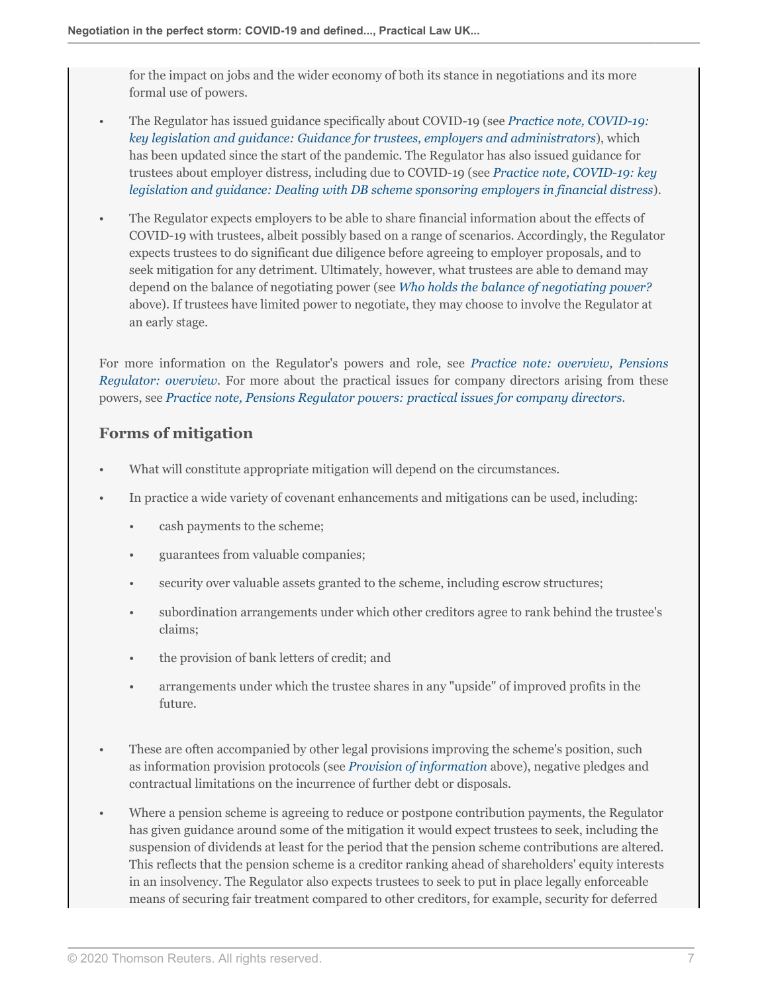for the impact on jobs and the wider economy of both its stance in negotiations and its more formal use of powers.

- The Regulator has issued guidance specifically about COVID-19 (see *[Practice note, COVID-19:](http://uk.practicallaw.thomsonreuters.com/w-027-4028?originationContext=document&vr=3.0&rs=PLUK1.0&transitionType=DocumentItem&contextData=(sc.Default)#co_anchor_a603975) [key legislation and guidance: Guidance for trustees, employers and administrators](http://uk.practicallaw.thomsonreuters.com/w-027-4028?originationContext=document&vr=3.0&rs=PLUK1.0&transitionType=DocumentItem&contextData=(sc.Default)#co_anchor_a603975)*), which has been updated since the start of the pandemic. The Regulator has also issued guidance for trustees about employer distress, including due to COVID-19 (see *[Practice note, COVID-19: key](http://uk.practicallaw.thomsonreuters.com/w-027-4028?originationContext=document&vr=3.0&rs=PLUK1.0&transitionType=DocumentItem&contextData=(sc.Default)#co_anchor_a695037) [legislation and guidance: Dealing with DB scheme sponsoring employers in financial distress](http://uk.practicallaw.thomsonreuters.com/w-027-4028?originationContext=document&vr=3.0&rs=PLUK1.0&transitionType=DocumentItem&contextData=(sc.Default)#co_anchor_a695037)*).
- The Regulator expects employers to be able to share financial information about the effects of COVID-19 with trustees, albeit possibly based on a range of scenarios. Accordingly, the Regulator expects trustees to do significant due diligence before agreeing to employer proposals, and to seek mitigation for any detriment. Ultimately, however, what trustees are able to demand may depend on the balance of negotiating power (see *[Who holds the balance of negotiating power?](#page-4-2)* above). If trustees have limited power to negotiate, they may choose to involve the Regulator at an early stage.

For more information on the Regulator's powers and role, see *[Practice note: overview, Pensions](http://uk.practicallaw.thomsonreuters.com/3-203-0447?originationContext=document&vr=3.0&rs=PLUK1.0&transitionType=DocumentItem&contextData=(sc.Default)) [Regulator: overview](http://uk.practicallaw.thomsonreuters.com/3-203-0447?originationContext=document&vr=3.0&rs=PLUK1.0&transitionType=DocumentItem&contextData=(sc.Default))*. For more about the practical issues for company directors arising from these powers, see *[Practice note, Pensions Regulator powers: practical issues for company directors](http://uk.practicallaw.thomsonreuters.com/8-386-6113?originationContext=document&vr=3.0&rs=PLUK1.0&transitionType=DocumentItem&contextData=(sc.Default))*.

## <span id="page-6-0"></span>**Forms of mitigation**

- What will constitute appropriate mitigation will depend on the circumstances.
- In practice a wide variety of covenant enhancements and mitigations can be used, including:
	- cash payments to the scheme;
	- guarantees from valuable companies;
	- security over valuable assets granted to the scheme, including escrow structures;
	- subordination arrangements under which other creditors agree to rank behind the trustee's claims;
	- the provision of bank letters of credit; and
	- arrangements under which the trustee shares in any "upside" of improved profits in the future.
- These are often accompanied by other legal provisions improving the scheme's position, such as information provision protocols (see *[Provision of information](#page-2-0)* above), negative pledges and contractual limitations on the incurrence of further debt or disposals.
- Where a pension scheme is agreeing to reduce or postpone contribution payments, the Regulator has given guidance around some of the mitigation it would expect trustees to seek, including the suspension of dividends at least for the period that the pension scheme contributions are altered. This reflects that the pension scheme is a creditor ranking ahead of shareholders' equity interests in an insolvency. The Regulator also expects trustees to seek to put in place legally enforceable means of securing fair treatment compared to other creditors, for example, security for deferred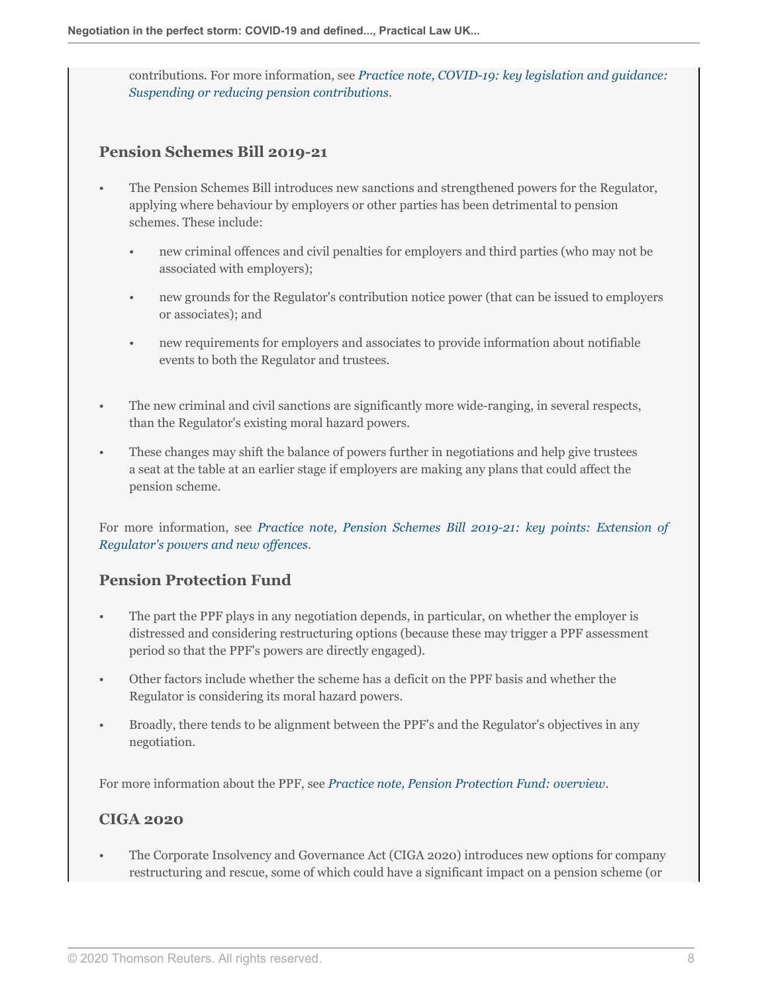contributions. For more information, see *[Practice note, COVID-19: key legislation and guidance:](http://uk.practicallaw.thomsonreuters.com/w-027-4028?originationContext=document&vr=3.0&rs=PLUK1.0&transitionType=DocumentItem&contextData=(sc.Default)#co_anchor_a746802) [Suspending or reducing pension contributions](http://uk.practicallaw.thomsonreuters.com/w-027-4028?originationContext=document&vr=3.0&rs=PLUK1.0&transitionType=DocumentItem&contextData=(sc.Default)#co_anchor_a746802)*.

#### <span id="page-7-0"></span>**Pension Schemes Bill 2019-21**

- The Pension Schemes Bill introduces new sanctions and strengthened powers for the Regulator, applying where behaviour by employers or other parties has been detrimental to pension schemes. These include:
	- new criminal offences and civil penalties for employers and third parties (who may not be associated with employers);
	- new grounds for the Regulator's contribution notice power (that can be issued to employers or associates); and
	- new requirements for employers and associates to provide information about notifiable events to both the Regulator and trustees.
- The new criminal and civil sanctions are significantly more wide-ranging, in several respects, than the Regulator's existing moral hazard powers.
- These changes may shift the balance of powers further in negotiations and help give trustees a seat at the table at an earlier stage if employers are making any plans that could affect the pension scheme.

For more information, see *[Practice note, Pension Schemes Bill 2019-21: key points: Extension of](http://uk.practicallaw.thomsonreuters.com/w-023-8797?originationContext=document&vr=3.0&rs=PLUK1.0&transitionType=DocumentItem&contextData=(sc.Default)#co_anchor_a912068) [Regulator's powers and new offences](http://uk.practicallaw.thomsonreuters.com/w-023-8797?originationContext=document&vr=3.0&rs=PLUK1.0&transitionType=DocumentItem&contextData=(sc.Default)#co_anchor_a912068)*.

#### <span id="page-7-1"></span>**Pension Protection Fund**

- The part the PPF plays in any negotiation depends, in particular, on whether the employer is distressed and considering restructuring options (because these may trigger a PPF assessment period so that the PPF's powers are directly engaged).
- Other factors include whether the scheme has a deficit on the PPF basis and whether the Regulator is considering its moral hazard powers.
- Broadly, there tends to be alignment between the PPF's and the Regulator's objectives in any negotiation.

<span id="page-7-2"></span>For more information about the PPF, see *[Practice note, Pension Protection Fund: overview](http://uk.practicallaw.thomsonreuters.com/7-205-4460?originationContext=document&vr=3.0&rs=PLUK1.0&transitionType=DocumentItem&contextData=(sc.Default))*.

#### **CIGA 2020**

• The Corporate Insolvency and Governance Act (CIGA 2020) introduces new options for company restructuring and rescue, some of which could have a significant impact on a pension scheme (or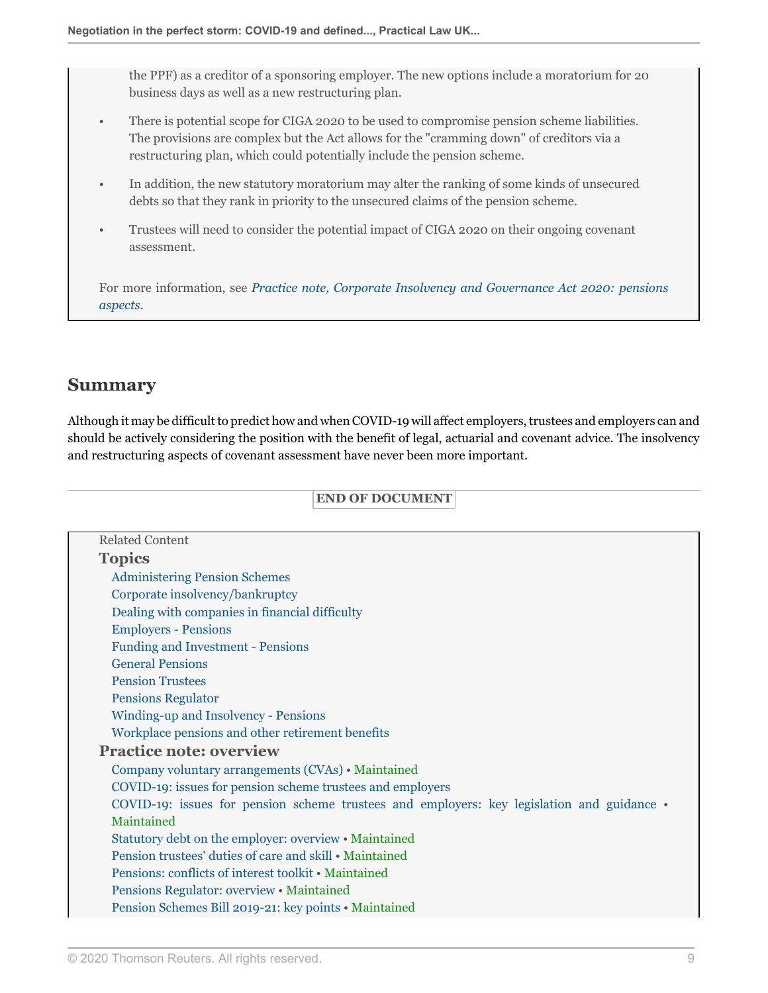the PPF) as a creditor of a sponsoring employer. The new options include a moratorium for 20 business days as well as a new restructuring plan.

- There is potential scope for CIGA 2020 to be used to compromise pension scheme liabilities. The provisions are complex but the Act allows for the "cramming down" of creditors via a restructuring plan, which could potentially include the pension scheme.
- In addition, the new statutory moratorium may alter the ranking of some kinds of unsecured debts so that they rank in priority to the unsecured claims of the pension scheme.
- Trustees will need to consider the potential impact of CIGA 2020 on their ongoing covenant assessment.

For more information, see *[Practice note, Corporate Insolvency and Governance Act 2020: pensions](http://uk.practicallaw.thomsonreuters.com/w-026-3567?originationContext=document&vr=3.0&rs=PLUK1.0&transitionType=DocumentItem&contextData=(sc.Default)) [aspects](http://uk.practicallaw.thomsonreuters.com/w-026-3567?originationContext=document&vr=3.0&rs=PLUK1.0&transitionType=DocumentItem&contextData=(sc.Default))*.

# <span id="page-8-0"></span>**Summary**

Although it may be difficult to predict how and when COVID-19 will affect employers, trustees and employers can and should be actively considering the position with the benefit of legal, actuarial and covenant advice. The insolvency and restructuring aspects of covenant assessment have never been more important.

#### **END OF DOCUMENT**

|                                | <b>Related Content</b>                                                                             |
|--------------------------------|----------------------------------------------------------------------------------------------------|
|                                | <b>Topics</b>                                                                                      |
|                                | <b>Administering Pension Schemes</b>                                                               |
|                                | Corporate insolvency/bankruptcy                                                                    |
|                                | Dealing with companies in financial difficulty                                                     |
|                                | <b>Employers - Pensions</b>                                                                        |
|                                | <b>Funding and Investment - Pensions</b>                                                           |
|                                | <b>General Pensions</b>                                                                            |
|                                | <b>Pension Trustees</b>                                                                            |
|                                | <b>Pensions Regulator</b>                                                                          |
|                                | Winding-up and Insolvency - Pensions                                                               |
|                                | Workplace pensions and other retirement benefits                                                   |
| <b>Practice note: overview</b> |                                                                                                    |
|                                | Company voluntary arrangements (CVAs) • Maintained                                                 |
|                                | COVID-19: issues for pension scheme trustees and employers                                         |
|                                | COVID-19: issues for pension scheme trustees and employers: key legislation and guidance $\bullet$ |
|                                | Maintained                                                                                         |
|                                | Statutory debt on the employer: overview • Maintained                                              |
|                                | Pension trustees' duties of care and skill • Maintained                                            |
|                                | Pensions: conflicts of interest toolkit • Maintained                                               |
|                                | Pensions Regulator: overview • Maintained                                                          |
|                                | Pension Schemes Bill 2019-21: key points • Maintained                                              |
|                                |                                                                                                    |